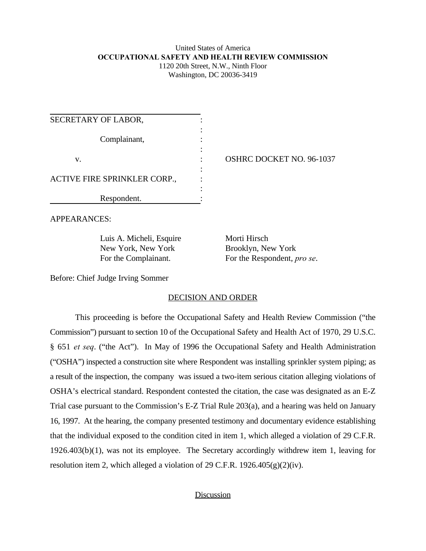#### United States of America **OCCUPATIONAL SAFETY AND HEALTH REVIEW COMMISSION** 1120 20th Street, N.W., Ninth Floor Washington, DC 20036-3419

| SECRETARY OF LABOR,          |  |
|------------------------------|--|
| Complainant,                 |  |
| V.                           |  |
| ACTIVE FIRE SPRINKLER CORP., |  |
| Respondent.                  |  |

OSHRC DOCKET NO. 96-1037

APPEARANCES:

Luis A. Micheli, Esquire Morti Hirsch New York, New York Brooklyn, New York

For the Complainant. For the Respondent, *pro se*.

Before: Chief Judge Irving Sommer

### DECISION AND ORDER

This proceeding is before the Occupational Safety and Health Review Commission ("the Commission") pursuant to section 10 of the Occupational Safety and Health Act of 1970, 29 U.S.C. § 651 *et seq*. ("the Act"). In May of 1996 the Occupational Safety and Health Administration ("OSHA") inspected a construction site where Respondent was installing sprinkler system piping; as a result of the inspection, the company was issued a two-item serious citation alleging violations of OSHA's electrical standard. Respondent contested the citation, the case was designated as an E-Z Trial case pursuant to the Commission's E-Z Trial Rule 203(a), and a hearing was held on January 16, 1997. At the hearing, the company presented testimony and documentary evidence establishing that the individual exposed to the condition cited in item 1, which alleged a violation of 29 C.F.R. 1926.403(b)(1), was not its employee. The Secretary accordingly withdrew item 1, leaving for resolution item 2, which alleged a violation of 29 C.F.R. 1926.405 $(g)(2)(iv)$ .

## Discussion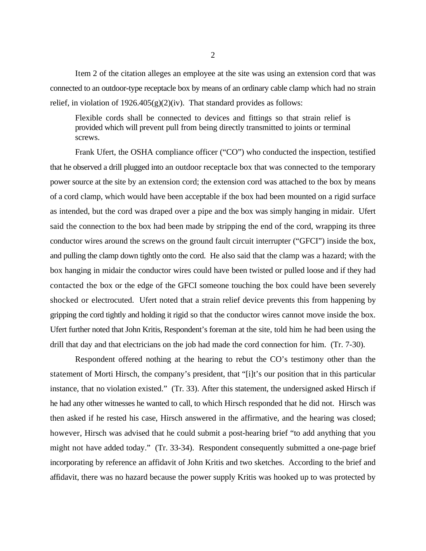Item 2 of the citation alleges an employee at the site was using an extension cord that was connected to an outdoor-type receptacle box by means of an ordinary cable clamp which had no strain relief, in violation of 1926.405(g)(2)(iv). That standard provides as follows:

Flexible cords shall be connected to devices and fittings so that strain relief is provided which will prevent pull from being directly transmitted to joints or terminal screws.

Frank Ufert, the OSHA compliance officer ("CO") who conducted the inspection, testified that he observed a drill plugged into an outdoor receptacle box that was connected to the temporary power source at the site by an extension cord; the extension cord was attached to the box by means of a cord clamp, which would have been acceptable if the box had been mounted on a rigid surface as intended, but the cord was draped over a pipe and the box was simply hanging in midair. Ufert said the connection to the box had been made by stripping the end of the cord, wrapping its three conductor wires around the screws on the ground fault circuit interrupter ("GFCI") inside the box, and pulling the clamp down tightly onto the cord. He also said that the clamp was a hazard; with the box hanging in midair the conductor wires could have been twisted or pulled loose and if they had contacted the box or the edge of the GFCI someone touching the box could have been severely shocked or electrocuted. Ufert noted that a strain relief device prevents this from happening by gripping the cord tightly and holding it rigid so that the conductor wires cannot move inside the box. Ufert further noted that John Kritis, Respondent's foreman at the site, told him he had been using the drill that day and that electricians on the job had made the cord connection for him. (Tr. 7-30).

Respondent offered nothing at the hearing to rebut the CO's testimony other than the statement of Morti Hirsch, the company's president, that "[i]t's our position that in this particular instance, that no violation existed." (Tr. 33). After this statement, the undersigned asked Hirsch if he had any other witnesses he wanted to call, to which Hirsch responded that he did not. Hirsch was then asked if he rested his case, Hirsch answered in the affirmative, and the hearing was closed; however, Hirsch was advised that he could submit a post-hearing brief "to add anything that you might not have added today." (Tr. 33-34). Respondent consequently submitted a one-page brief incorporating by reference an affidavit of John Kritis and two sketches. According to the brief and affidavit, there was no hazard because the power supply Kritis was hooked up to was protected by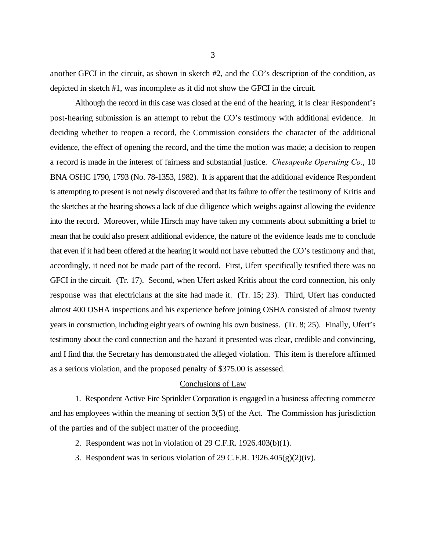another GFCI in the circuit, as shown in sketch #2, and the CO's description of the condition, as depicted in sketch #1, was incomplete as it did not show the GFCI in the circuit.

Although the record in this case was closed at the end of the hearing, it is clear Respondent's post-hearing submission is an attempt to rebut the CO's testimony with additional evidence. In deciding whether to reopen a record, the Commission considers the character of the additional evidence, the effect of opening the record, and the time the motion was made; a decision to reopen a record is made in the interest of fairness and substantial justice. *Chesapeake Operating Co.*, 10 BNA OSHC 1790, 1793 (No. 78-1353, 1982). It is apparent that the additional evidence Respondent is attempting to present is not newly discovered and that its failure to offer the testimony of Kritis and the sketches at the hearing shows a lack of due diligence which weighs against allowing the evidence into the record. Moreover, while Hirsch may have taken my comments about submitting a brief to mean that he could also present additional evidence, the nature of the evidence leads me to conclude that even if it had been offered at the hearing it would not have rebutted the CO's testimony and that, accordingly, it need not be made part of the record. First, Ufert specifically testified there was no GFCI in the circuit. (Tr. 17). Second, when Ufert asked Kritis about the cord connection, his only response was that electricians at the site had made it. (Tr. 15; 23). Third, Ufert has conducted almost 400 OSHA inspections and his experience before joining OSHA consisted of almost twenty years in construction, including eight years of owning his own business. (Tr. 8; 25). Finally, Ufert's testimony about the cord connection and the hazard it presented was clear, credible and convincing, and I find that the Secretary has demonstrated the alleged violation. This item is therefore affirmed as a serious violation, and the proposed penalty of \$375.00 is assessed.

### Conclusions of Law

1. Respondent Active Fire Sprinkler Corporation is engaged in a business affecting commerce and has employees within the meaning of section 3(5) of the Act. The Commission has jurisdiction of the parties and of the subject matter of the proceeding.

- 2. Respondent was not in violation of 29 C.F.R. 1926.403(b)(1).
- 3. Respondent was in serious violation of 29 C.F.R.  $1926.405(g)(2)(iv)$ .